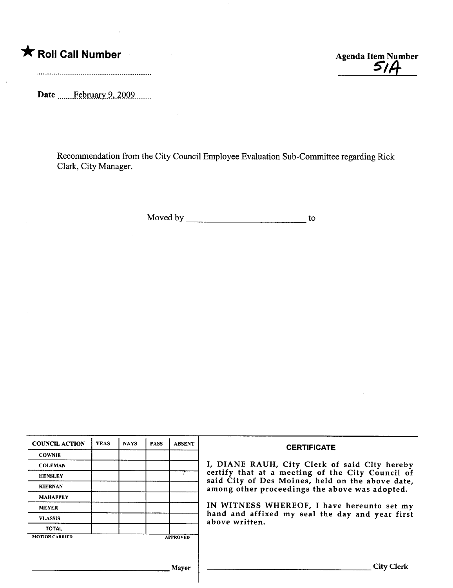$\ddot{\phantom{a}}$ 

Date February 9, 2009.......

\* Roll Call Number<br>
Agenda Item Number<br>
S/A

Recommendation from the City Council Employee Evaluation Sub-Committee regarding Rick Clark, City Manager.

Moved by to

| <b>COWNIE</b><br><b>COLEMAN</b><br>certify that at a meeting of the City Council of<br><b>HENSLEY</b><br>said City of Des Moines, held on the above date,<br><b>KIERNAN</b><br>among other proceedings the above was adopted.<br><b>MAHAFFEY</b><br>IN WITNESS WHEREOF, I have hereunto set my<br><b>MEYER</b><br>hand and affixed my seal the day and year first<br><b>VLASSIS</b><br>above written.<br><b>TOTAL</b><br><b>APPROVED</b> | <b>COUNCIL ACTION</b> | <b>YEAS</b> | <b>NAYS</b> | <b>PASS</b> | <b>ABSENT</b> | <b>CERTIFICATE</b>                            |  |  |
|------------------------------------------------------------------------------------------------------------------------------------------------------------------------------------------------------------------------------------------------------------------------------------------------------------------------------------------------------------------------------------------------------------------------------------------|-----------------------|-------------|-------------|-------------|---------------|-----------------------------------------------|--|--|
|                                                                                                                                                                                                                                                                                                                                                                                                                                          |                       |             |             |             |               |                                               |  |  |
|                                                                                                                                                                                                                                                                                                                                                                                                                                          |                       |             |             |             |               | I, DIANE RAUH, City Clerk of said City hereby |  |  |
| <b>MOTION CARRIED</b>                                                                                                                                                                                                                                                                                                                                                                                                                    |                       |             |             |             |               |                                               |  |  |
|                                                                                                                                                                                                                                                                                                                                                                                                                                          |                       |             |             |             |               |                                               |  |  |
|                                                                                                                                                                                                                                                                                                                                                                                                                                          |                       |             |             |             |               |                                               |  |  |
|                                                                                                                                                                                                                                                                                                                                                                                                                                          |                       |             |             |             |               |                                               |  |  |
|                                                                                                                                                                                                                                                                                                                                                                                                                                          |                       |             |             |             |               |                                               |  |  |
|                                                                                                                                                                                                                                                                                                                                                                                                                                          |                       |             |             |             |               |                                               |  |  |
|                                                                                                                                                                                                                                                                                                                                                                                                                                          |                       |             |             |             |               |                                               |  |  |
|                                                                                                                                                                                                                                                                                                                                                                                                                                          |                       |             |             |             |               |                                               |  |  |
|                                                                                                                                                                                                                                                                                                                                                                                                                                          |                       |             |             |             | Mavor         | <b>City Clerk</b>                             |  |  |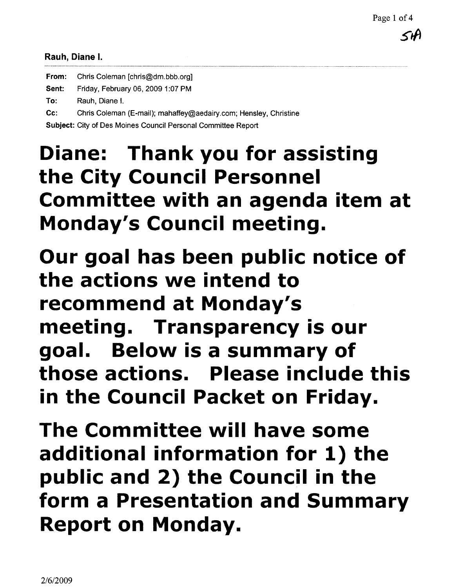#### Rauh, Diane I.

| From: | Chris Coleman [chris@dm.bbb.org]                                 |
|-------|------------------------------------------------------------------|
| Sent: | Friday, February 06, 2009 1:07 PM                                |
| To:   | Rauh, Diane I.                                                   |
| Cc:   | Chris Coleman (E-mail); mahaffey@aedairy.com; Hensley, Christine |
|       | Subject: City of Des Moines Council Personal Committee Report    |

# Diane: Thank you for assisting the City Council Personnel Committee with an agenda item at Monday's Council meeting.

Our goal has been public notice of the actions we intend to recommend at Monday's meeting. Transparency is our goal. Below is a summary of those actions. Please include this in the Council Packet on Friday.

The Committee will have some additional information for 1) the public and 2) the Council in the form a Presentation and Summary Report on Monday.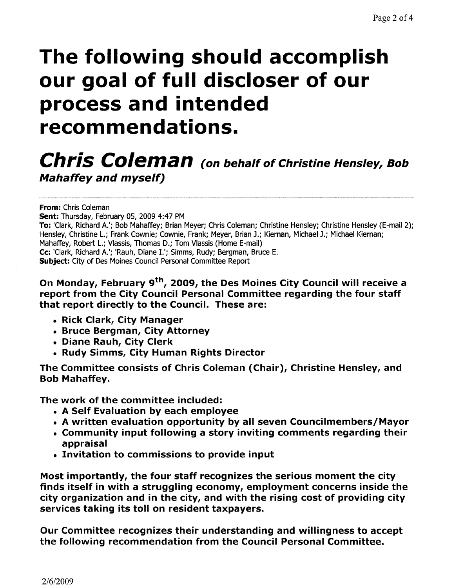# The follovving should accomplish our goal of full discloser of our process and intended recommendations.

## Chris Coleman (on behalf of Christine Hensley, Bob Mahaffey and myself)

From: Chris Coleman

Sent: Thursday, February 05, 2009 4:47 PM To: 'Clark, Richard A.'; Bob Mahaffey; Brian Meyer; Chris Coleman; Christine Hensley; Christine Hensley (E-mail 2); Hensley, Christine L.; Frank Cownie; Cownie, Frank; Meyer, Brian J.; Kiernan, Michael J.; Michael Kiernan; Mahaffey, Robert L.; Vlassis, Thomas D.; Tom Vlassis (Home E-mail) Cc: 'Clark, Richard A.'; 'Rauh, Diane I.'; Simms, Rudy; Bergman, Bruce E. Subject: City of Des Moines Council Personal Committee Report

On Monday, February 9<sup>th</sup>, 2009, the Des Moines City Council will receive a report from the City Council Personal Committee regarding the four staff that report directly to the Council. These are:

- . Rick Clark, City Manager
- . Bruce Bergman, City Attorney
- . Diane Rauh, City Clerk
- . Rudy Simms, City Human Rights Director

The Committee consists of Chris Coleman (Chair), Christine Hensley, and Bob Mahaffey.

The work of the committee included:

- . A Self Evaluation by each employee
- . A written evaluation opportunity by all seven Councilmembers/Mayor
- . Community input following a story inviting comments regarding their appraisal
- . Invitation to commissions to provide input

Most importantly, the four staff recognizes the serious moment the city finds itself in with a struggling economy, employment concerns inside the city organization and in the city, and with the rising cost of providing city services taking its toll on resident taxpayers.

Our Committee recognizes their understanding and wilingness to accept the following recommendation from the Council Personal Committee.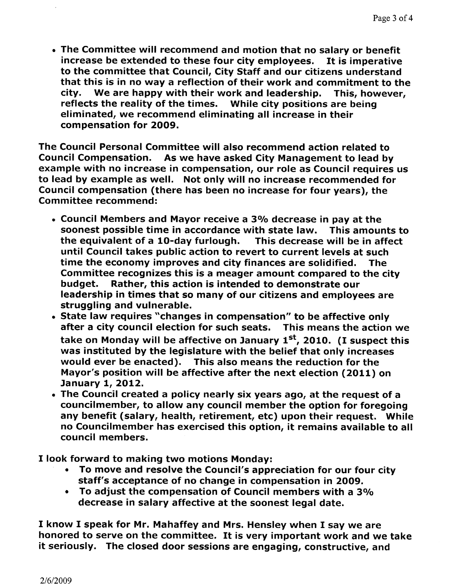• The Committee will recommend and motion that no salary or benefit increase be extended to these four city employees. It is imperative to the committee that Council, City Staff and our citizens understand that this is in no way a reflection of their work and commitment to the city. We are happy with their work and leadership. This, however, reflects the reality of the times. While city positions are being eliminated, we recommend eliminating all increase in their compensation for 2009.

The Council Personal Committee will also recommend action related to Council Compensation. As we have asked City Management to lead by example with no increase in compensation, our role as Council requires us to lead by example as well. Not only wil no increase recommended for Council compensation (there has been no increase for four years), the Committee recommend:

- . Council Members and Mayor receive a 3% decrease in pay at the soonest possible time in accordance with state law. This amounts to the equivalent of a 10-day furlough. This decrease will be in affect until Council takes public action to revert to current levels at such time the economy improves and city finances are solidified. The Committee recognizes this is a meager amount compared to the city budget. Rather, this action is intended to demonstrate our leadership in times that so many of our citizens and employees are struggling and vulnerable.
- . State law requires "changes in compensation" to be affective only after a city council election for such seats. This means the action we take on Monday will be affective on January  $1<sup>st</sup>$ , 2010. (I suspect this was instituted by the legislature with the belief that only increases would ever be enacted). This also means the reduction for the Mayor's position will be affective after the next election (2011) on January 1, 2012.
- . The Council created a policy nearly six years ago, at the request of a councilmember, to allow any council member the option for foregoing any benefit (salary, health, retirement, etc) upon their request. While no Councilmember has exercised this option, it remains available to all council members.

I look forward to making two motions Monday:

- To move and resolve the Council's appreciation for our four city staff's acceptance of no change in compensation in 2009.
- · To adjust the compensation of Council members with a 30/0 decrease in salary affective at the soonest legal date.

I know I speak for Mr. Mahaffey and Mrs. Hensley when I say we are honored to serve on the committee. It is very important work and we take it seriously. The closed door sessions are engaging, constructive, and